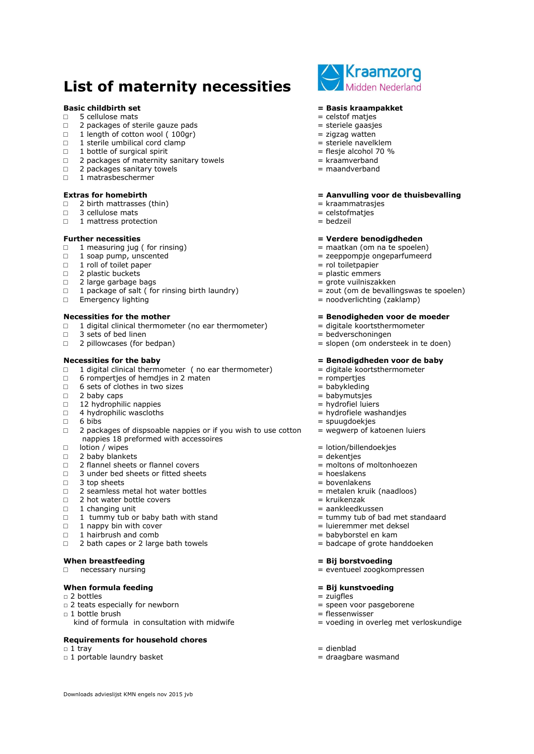# **List of maternity necessities**

- □ 5 cellulose mats = celstof matjes
- $\Box$  2 packages of sterile gauze pads  $\Box$  = steriele gaasjes
- $\Box$  1 length of cotton wool ( 100gr)  $\Box$  = zigzag watten
- $\frac{1}{1}$  sterile umbilical cord clamp
- $\Box$  1 bottle of surgical spirit  $\Box$  1 bottle of surgical spirit
- $\Box$  2 packages of maternity sanitary towels  $\Box$  = kraamverband
- $\Box$  2 packages sanitary towels  $\Box$  2 packages sanitary towels
- □ 1 matrasbeschermer

- □ 2 birth mattrasses (thin)  $\Box$  2 birth mattrasses (thin)  $\Box$  are kraammatrasjes  $\Box$  3 cellulose mats
- □ 3 cellulose mats  $\Box$  3 cellulose mats  $\Box$  and  $\Box$  and  $\Box$  and  $\Box$  and  $\Box$  and  $\Box$  and  $\Box$  and  $\Box$  and  $\Box$  and  $\Box$  and  $\Box$  and  $\Box$  and  $\Box$  and  $\Box$  and  $\Box$  and  $\Box$  and  $\Box$  and  $\Box$  and  $\Box$  and  $\Box$  and
- □ 1 mattress protection

- **Further necessities**<br>
□ 1 measuring iug ( for rinsing ) <br>
□ 1 measuring iug ( for rinsing ) <br>
□ 1 measuring iug ( for rinsing ) <br>
□ 1 measuring iug ( for rinsing )  $\Box$  1 measuring jug ( for rinsing)
- 
- $\Box$  1 roll of toilet paper  $\Box$  1 roll of toilet paper
- □ 2 plastic buckets  $\Box$  2 plastic emmers = plastic emmers = plastic emmers = plastic emmers = plastic emmers
- 
- □ 2 large garbage bags<br>□ 1 package of salt ( for rinsing birth laundry)  $\Box$  = zout (om de bevallingswas te spoelen)  $\Box$  1 package of salt ( for rinsing birth laundry)<br> $\Box$  Emergency lighting
- 

- □ 1 digital clinical thermometer (no ear thermometer)  $\Box$  = digitale koortsthermometer = 3 sets of bed linen
- $\Box$  3 sets of bed linen  $\Box$  3 sets of bed linen
- 

- □ 1 digital clinical thermometer ( no ear thermometer)  $=$  digitale koortsthermometer 6 romperties of hemdies in 2 maten  $=$  romperties
- □ 6 rompertjes of hemdjes in 2 maten  $\Box$  5 = rompertjes = babykleding = 6 sets of clothes in two sizes
- $\Box$  6 sets of clothes in two sizes  $\Box$  2 baby caps
- 
- □ 12 hydrophilic nappies = hydrofiel luiers
- 
- 
- $\Box$  2 packages of dispsoable nappies or if you wish to use cotton  $=$  wegwerp of katoenen luiers nappies 18 preformed with accessoires
- $\Box$  lotion / wipes  $\Box$  lotion / wipes  $\Box$
- 
- □ 2 baby blankets<br>□ 2 flannel sheets or flannel covers = the set = moltons of moltonhoezen □ 2 flannel sheets or flannel covers
- $\Box$  3 under bed sheets or fitted sheets  $\Box$  = hoeslakens
- $\Box$  3 top sheets  $\Box$  3 top sheets
- □ 2 seamless metal hot water bottles = metalen kruik (naadloos)
- $\Box$  2 hot water bottle covers  $\Box$  2 hot water bottle covers
- $\Box$  1 changing unit  $\Box$  1 changing unit
- □ 1 tummy tub or baby bath with stand<br>□ 1 nappy bin with cover  $\Box$  = luieremmer met deksel
- $\Box$  1 nappy bin with cover  $\Box$  is a luieremmer met deksel
- 
- □ 1 hairbrush and comb  $\Box$  1 hairbrush and comb  $\Box$  babyborstel en kam  $\Box$  2 bath capes or 2 large bath towels  $\Box$  badcape of grote handdoeken  $\Box$  2 bath capes or 2 large bath towels

### **When breastfeeding = Bij borstvoeding**

 $\Box$  necessary nursing  $\Box$  necessary nursing  $\Box$  eventueel zoogkompressen

## **When formula feeding**<br>  $\Box$  2 bottles<br>  $\Box$  2 bottles<br>  $\Box$  2 bottles

- $\Box$  2 bottles
- $\Box$  2 teats especially for newborn  $\Box$  speen voor pasgeborene
- $\Box$  1 bottle brush  $\Box$  1 bottle brush  $\Box$  1 bottle brush  $\Box$ 
	- kind of formula in consultation with midwife  $=$  voeding in overleg met verloskundige

### **Requirements for household chores**

Downloads advieslijst KMN engels nov 2015 jvb

- $\Box$  1 tray  $\Box$  1 tray  $\Box$
- $\Box$  1 portable laundry basket  $\Box$  denotes the dragbare wasmand



### **Basic childbirth set = Basis kraampakket**

- 
- 
- 
- 
- 
- 
- 

### **Extras for homebirth = Aanvulling voor de thuisbevalling**

- 
- 
- 

- 
- $\Box$  1 soap pump, unscented  $\Box$   $\Box$  zeeppompje ongeparfumeerd
	-
	-
	-
	-
	- $=$  noodverlichting (zaklamp)

### **Necessities for the mother = Benodigheden voor de moeder**

- 
- 
- □ 2 pillowcases (for bedpan) example a slopen (om ondersteek in te doen)

### **Necessities for the baby because in the baby example 2 and 2 and 2 and 2 and 2 and 2 and 2 and 2 and 2 and 2 and 2 and 2 and 2 and 2 and 2 and 2 and 2 and 2 and 2 and 2 and 2 and 2 and 2 and 2 and 2 and 2 and 2 and 2**

- 
- 
- 
- $\Box$  2 baby caps  $\Box$  2 baby caps
	-
- □ 4 hydrophilic wascloths = hydrofiele washandjes
- $\Box$  6 bibs  $\Box$  6 bibs
	-
	-
	-
	-
	-
	-
	-
	-
	-
	-